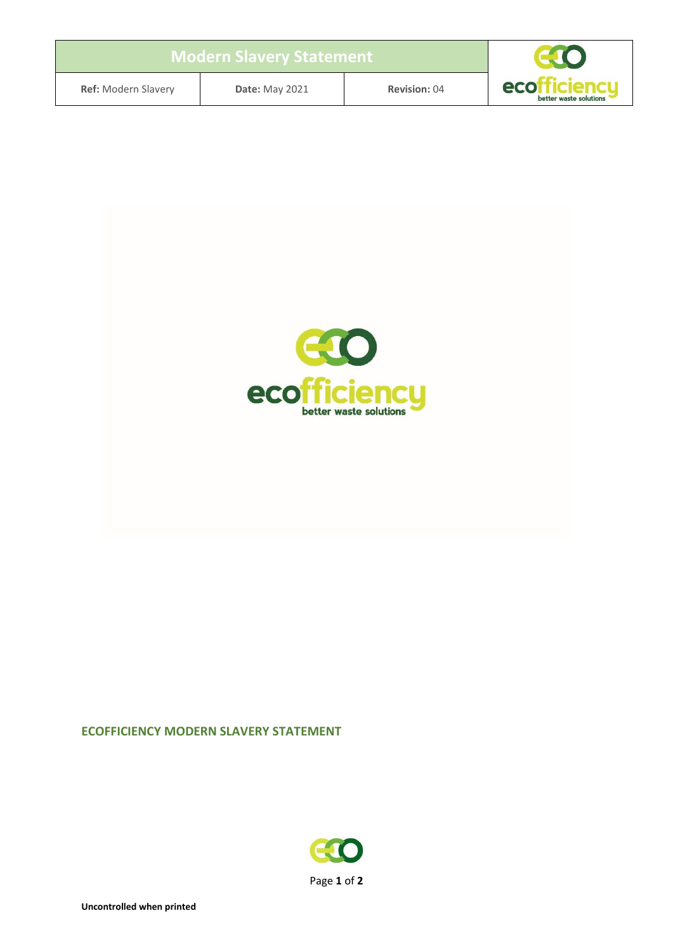| <b>Modern Slavery Statement</b> |  |  |  |  |  |
|---------------------------------|--|--|--|--|--|
|---------------------------------|--|--|--|--|--|



**Ref:** Modern Slavery **Date:** May 2021 **Revision:** 04



# **ECOFFICIENCY MODERN SLAVERY STATEMENT**